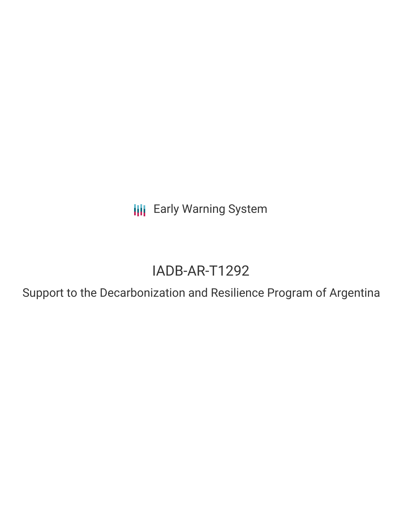**III** Early Warning System

# IADB-AR-T1292

Support to the Decarbonization and Resilience Program of Argentina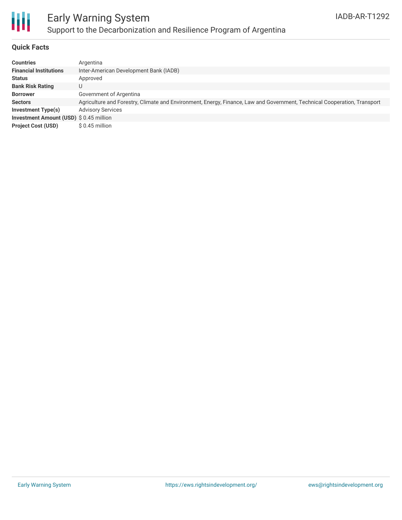

## Early Warning System Support to the Decarbonization and Resilience Program of Argentina

### **Quick Facts**

| <b>Countries</b>                        | Argentina                                                                                                                |
|-----------------------------------------|--------------------------------------------------------------------------------------------------------------------------|
| <b>Financial Institutions</b>           | Inter-American Development Bank (IADB)                                                                                   |
| <b>Status</b>                           | Approved                                                                                                                 |
| <b>Bank Risk Rating</b>                 | U                                                                                                                        |
| <b>Borrower</b>                         | Government of Argentina                                                                                                  |
| <b>Sectors</b>                          | Agriculture and Forestry, Climate and Environment, Energy, Finance, Law and Government, Technical Cooperation, Transport |
| Investment Type(s)                      | <b>Advisory Services</b>                                                                                                 |
| Investment Amount (USD) \$ 0.45 million |                                                                                                                          |
| <b>Project Cost (USD)</b>               | $$0.45$ million                                                                                                          |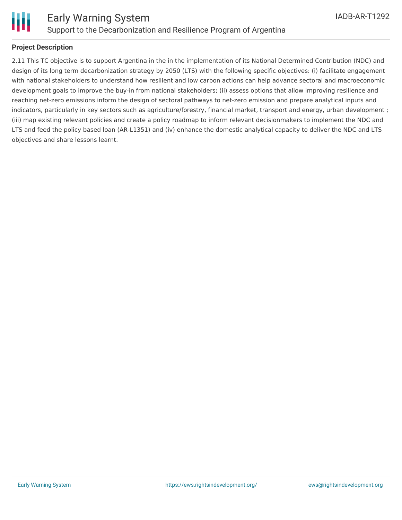

### **Project Description**

2.11 This TC objective is to support Argentina in the in the implementation of its National Determined Contribution (NDC) and design of its long term decarbonization strategy by 2050 (LTS) with the following specific objectives: (i) facilitate engagement with national stakeholders to understand how resilient and low carbon actions can help advance sectoral and macroeconomic development goals to improve the buy-in from national stakeholders; (ii) assess options that allow improving resilience and reaching net-zero emissions inform the design of sectoral pathways to net-zero emission and prepare analytical inputs and indicators, particularly in key sectors such as agriculture/forestry, financial market, transport and energy, urban development ; (iii) map existing relevant policies and create a policy roadmap to inform relevant decisionmakers to implement the NDC and LTS and feed the policy based loan (AR-L1351) and (iv) enhance the domestic analytical capacity to deliver the NDC and LTS objectives and share lessons learnt.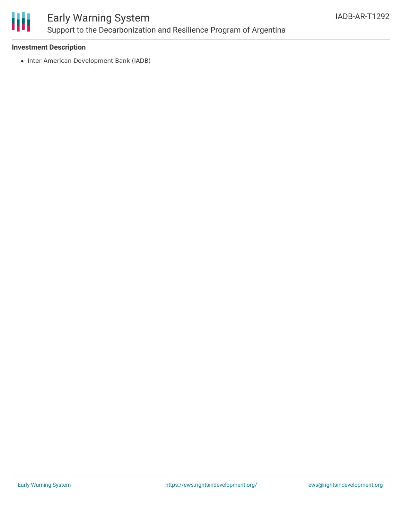

## Early Warning System Support to the Decarbonization and Resilience Program of Argentina

#### **Investment Description**

• Inter-American Development Bank (IADB)